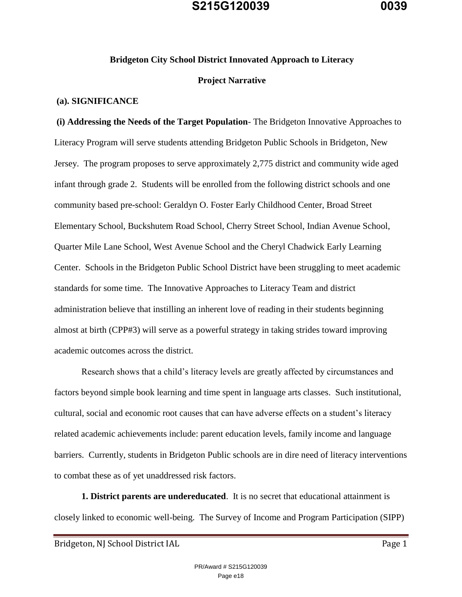#### **Bridgeton City School District Innovated Approach to Literacy**

#### **Project Narrative**

#### **(a). SIGNIFICANCE**

**(i) Addressing the Needs of the Target Population**- The Bridgeton Innovative Approaches to Literacy Program will serve students attending Bridgeton Public Schools in Bridgeton, New Jersey. The program proposes to serve approximately 2,775 district and community wide aged infant through grade 2. Students will be enrolled from the following district schools and one community based pre-school: Geraldyn O. Foster Early Childhood Center, Broad Street Elementary School, Buckshutem Road School, Cherry Street School, Indian Avenue School, Quarter Mile Lane School, West Avenue School and the Cheryl Chadwick Early Learning Center. Schools in the Bridgeton Public School District have been struggling to meet academic standards for some time. The Innovative Approaches to Literacy Team and district administration believe that instilling an inherent love of reading in their students beginning almost at birth (CPP#3) will serve as a powerful strategy in taking strides toward improving academic outcomes across the district.

Research shows that a child's literacy levels are greatly affected by circumstances and factors beyond simple book learning and time spent in language arts classes. Such institutional, cultural, social and economic root causes that can have adverse effects on a student's literacy related academic achievements include: parent education levels, family income and language barriers. Currently, students in Bridgeton Public schools are in dire need of literacy interventions to combat these as of yet unaddressed risk factors.

**1. District parents are undereducated**. It is no secret that educational attainment is closely linked to economic well-being. The Survey of Income and Program Participation (SIPP)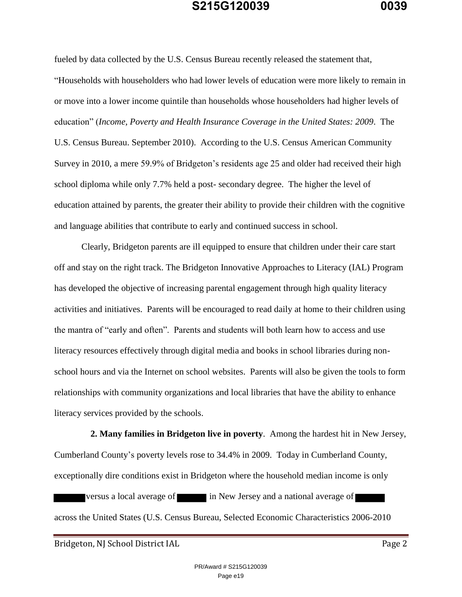fueled by data collected by the U.S. Census Bureau recently released the statement that, "Households with householders who had lower levels of education were more likely to remain in or move into a lower income quintile than households whose householders had higher levels of education" (*Income, Poverty and Health Insurance Coverage in the United States: 2009*. The U.S. Census Bureau. September 2010). According to the U.S. Census American Community Survey in 2010, a mere 59.9% of Bridgeton's residents age 25 and older had received their high school diploma while only 7.7% held a post- secondary degree. The higher the level of education attained by parents, the greater their ability to provide their children with the cognitive and language abilities that contribute to early and continued success in school.

 Clearly, Bridgeton parents are ill equipped to ensure that children under their care start off and stay on the right track. The Bridgeton Innovative Approaches to Literacy (IAL) Program has developed the objective of increasing parental engagement through high quality literacy activities and initiatives. Parents will be encouraged to read daily at home to their children using the mantra of "early and often". Parents and students will both learn how to access and use literacy resources effectively through digital media and books in school libraries during nonschool hours and via the Internet on school websites. Parents will also be given the tools to form relationships with community organizations and local libraries that have the ability to enhance literacy services provided by the schools.

 **2. Many families in Bridgeton live in poverty**. Among the hardest hit in New Jersey, Cumberland County's poverty levels rose to 34.4% in 2009. Today in Cumberland County, exceptionally dire conditions exist in Bridgeton where the household median income is only versus a local average of in New Jersey and a national average of across the United States (U.S. Census Bureau, Selected Economic Characteristics 2006-2010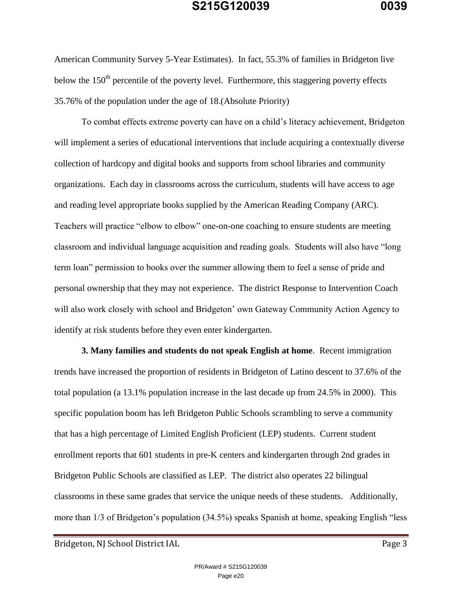American Community Survey 5-Year Estimates). In fact, 55.3% of families in Bridgeton live below the  $150<sup>th</sup>$  percentile of the poverty level. Furthermore, this staggering poverty effects 35.76% of the population under the age of 18.(Absolute Priority)

To combat effects extreme poverty can have on a child's literacy achievement, Bridgeton will implement a series of educational interventions that include acquiring a contextually diverse collection of hardcopy and digital books and supports from school libraries and community organizations. Each day in classrooms across the curriculum, students will have access to age and reading level appropriate books supplied by the American Reading Company (ARC). Teachers will practice "elbow to elbow" one-on-one coaching to ensure students are meeting classroom and individual language acquisition and reading goals. Students will also have "long term loan" permission to books over the summer allowing them to feel a sense of pride and personal ownership that they may not experience. The district Response to Intervention Coach will also work closely with school and Bridgeton' own Gateway Community Action Agency to identify at risk students before they even enter kindergarten.

**3. Many families and students do not speak English at home**. Recent immigration trends have increased the proportion of residents in Bridgeton of Latino descent to 37.6% of the total population (a 13.1% population increase in the last decade up from 24.5% in 2000). This specific population boom has left Bridgeton Public Schools scrambling to serve a community that has a high percentage of Limited English Proficient (LEP) students. Current student enrollment reports that 601 students in pre-K centers and kindergarten through 2nd grades in Bridgeton Public Schools are classified as LEP. The district also operates 22 bilingual classrooms in these same grades that service the unique needs of these students. Additionally, more than 1/3 of Bridgeton's population (34.5%) speaks Spanish at home, speaking English "less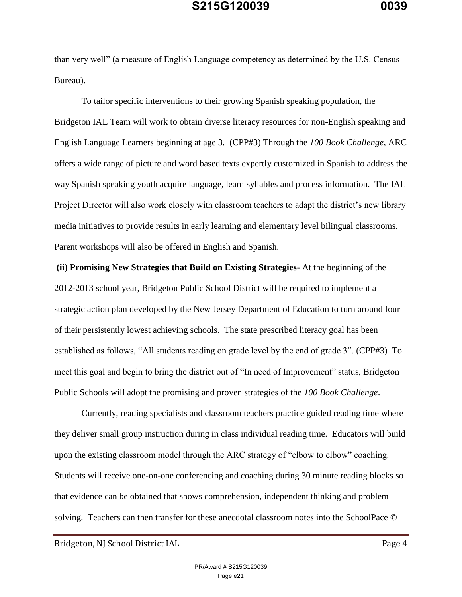than very well" (a measure of English Language competency as determined by the U.S. Census Bureau).

To tailor specific interventions to their growing Spanish speaking population, the Bridgeton IAL Team will work to obtain diverse literacy resources for non-English speaking and English Language Learners beginning at age 3. (CPP#3) Through the *100 Book Challenge*, ARC offers a wide range of picture and word based texts expertly customized in Spanish to address the way Spanish speaking youth acquire language, learn syllables and process information. The IAL Project Director will also work closely with classroom teachers to adapt the district's new library media initiatives to provide results in early learning and elementary level bilingual classrooms. Parent workshops will also be offered in English and Spanish.

**(ii) Promising New Strategies that Build on Existing Strategies**- At the beginning of the 2012-2013 school year, Bridgeton Public School District will be required to implement a strategic action plan developed by the New Jersey Department of Education to turn around four of their persistently lowest achieving schools. The state prescribed literacy goal has been established as follows, "All students reading on grade level by the end of grade 3". (CPP#3) To meet this goal and begin to bring the district out of "In need of Improvement" status, Bridgeton Public Schools will adopt the promising and proven strategies of the *100 Book Challenge*.

Currently, reading specialists and classroom teachers practice guided reading time where they deliver small group instruction during in class individual reading time. Educators will build upon the existing classroom model through the ARC strategy of "elbow to elbow" coaching. Students will receive one-on-one conferencing and coaching during 30 minute reading blocks so that evidence can be obtained that shows comprehension, independent thinking and problem solving. Teachers can then transfer for these anecdotal classroom notes into the SchoolPace ©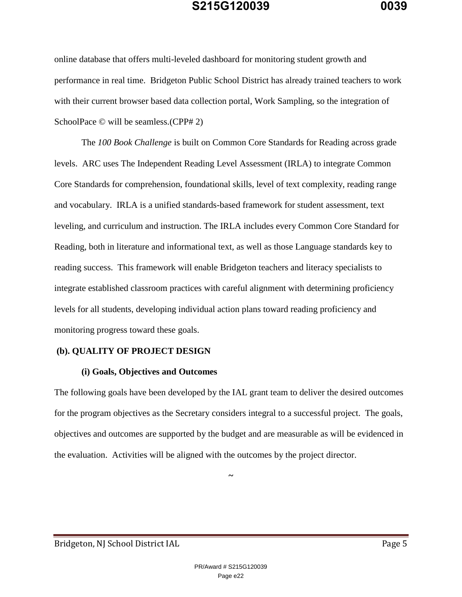online database that offers multi-leveled dashboard for monitoring student growth and performance in real time. Bridgeton Public School District has already trained teachers to work with their current browser based data collection portal, Work Sampling, so the integration of SchoolPace © will be seamless. (CPP# 2)

The *100 Book Challenge* is built on Common Core Standards for Reading across grade levels. ARC uses The Independent Reading Level Assessment (IRLA) to integrate Common Core Standards for comprehension, foundational skills, level of text complexity, reading range and vocabulary. IRLA is a unified standards-based framework for student assessment, text leveling, and curriculum and instruction. The IRLA includes every Common Core Standard for Reading, both in literature and informational text, as well as those Language standards key to reading success. This framework will enable Bridgeton teachers and literacy specialists to integrate established classroom practices with careful alignment with determining proficiency levels for all students, developing individual action plans toward reading proficiency and monitoring progress toward these goals.

#### **(b). QUALITY OF PROJECT DESIGN**

#### **(i) Goals, Objectives and Outcomes**

The following goals have been developed by the IAL grant team to deliver the desired outcomes for the program objectives as the Secretary considers integral to a successful project. The goals, objectives and outcomes are supported by the budget and are measurable as will be evidenced in the evaluation. Activities will be aligned with the outcomes by the project director.

*~*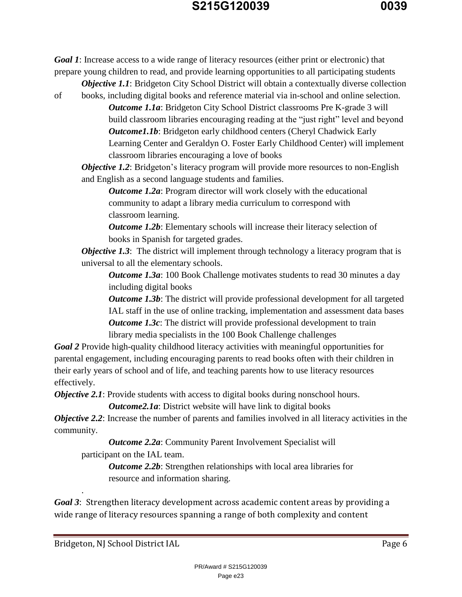*Goal 1*: Increase access to a wide range of literacy resources (either print or electronic) that prepare young children to read, and provide learning opportunities to all participating students *Objective 1.1*: Bridgeton City School District will obtain a contextually diverse collection

of books, including digital books and reference material via in-school and online selection.

*Outcome 1.1a:* Bridgeton City School District classrooms Pre K-grade 3 will build classroom libraries encouraging reading at the "just right" level and beyond *Outcome1.1b:* Bridgeton early childhood centers (Cheryl Chadwick Early Learning Center and Geraldyn O. Foster Early Childhood Center) will implement classroom libraries encouraging a love of books

*Objective 1.2*: Bridgeton's literacy program will provide more resources to non-English and English as a second language students and families.

*Outcome 1.2a*: Program director will work closely with the educational community to adapt a library media curriculum to correspond with classroom learning.

*Outcome 1.2b:* Elementary schools will increase their literacy selection of books in Spanish for targeted grades.

*Objective 1.3*: The district will implement through technology a literacy program that is universal to all the elementary schools.

*Outcome 1.3a*: 100 Book Challenge motivates students to read 30 minutes a day including digital books

*Outcome 1.3b*: The district will provide professional development for all targeted IAL staff in the use of online tracking, implementation and assessment data bases *Outcome 1.3c*: The district will provide professional development to train library media specialists in the 100 Book Challenge challenges

*Goal 2* Provide high-quality childhood literacy activities with meaningful opportunities for parental engagement, including encouraging parents to read books often with their children in their early years of school and of life, and teaching parents how to use literacy resources effectively.

*Objective 2.1:* Provide students with access to digital books during nonschool hours.

*Outcome2.1a*: District website will have link to digital books

*Objective 2.2*: Increase the number of parents and families involved in all literacy activities in the community.

*Outcome 2.2a:* Community Parent Involvement Specialist will participant on the IAL team.

> *Outcome 2.2b:* Strengthen relationships with local area libraries for resource and information sharing.

*Goal 3*: Strengthen literacy development across academic content areas by providing a wide range of literacy resources spanning a range of both complexity and content

Bridgeton, NJ School District IAL Page 6

.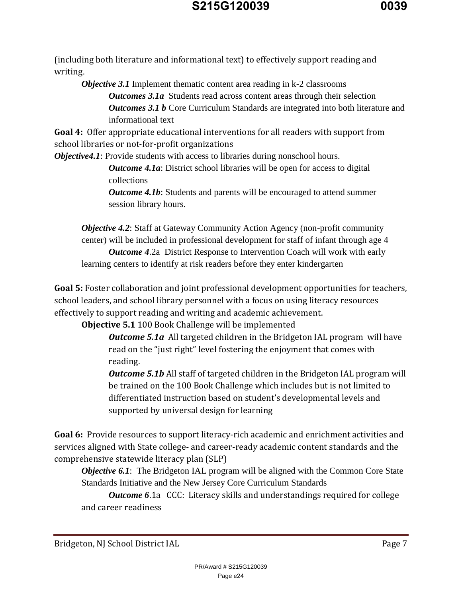

(including both literature and informational text) to effectively support reading and writing.

*Objective 3.1* Implement thematic content area reading in k-2 classrooms *Outcomes 3.1a* Students read across content areas through their selection *Outcomes 3.1 b* Core Curriculum Standards are integrated into both literature and informational text

**Goal 4:** Offer appropriate educational interventions for all readers with support from school libraries or not-for-profit organizations

*Objective4.1*: Provide students with access to libraries during nonschool hours.

*Outcome 4.1a:* District school libraries will be open for access to digital collections

*Outcome 4.1b:* Students and parents will be encouraged to attend summer session library hours.

*Objective 4.2:* Staff at Gateway Community Action Agency (non-profit community center) will be included in professional development for staff of infant through age 4 *Outcome 4*.2a District Response to Intervention Coach will work with early learning centers to identify at risk readers before they enter kindergarten

**Goal 5:** Foster collaboration and joint professional development opportunities for teachers, school leaders, and school library personnel with a focus on using literacy resources effectively to support reading and writing and academic achievement.

**Objective 5.1** 100 Book Challenge will be implemented

*Outcome 5.1a* All targeted children in the Bridgeton IAL program will have read on the "just right" level fostering the enjoyment that comes with reading.

*Outcome 5.1b* All staff of targeted children in the Bridgeton IAL program will be trained on the 100 Book Challenge which includes but is not limited to differentiated instruction based on student's developmental levels and supported by universal design for learning

**Goal 6:** Provide resources to support literacy-rich academic and enrichment activities and services aligned with State college- and career-ready academic content standards and the comprehensive statewide literacy plan (SLP)

*Objective 6.1:* The Bridgeton IAL program will be aligned with the Common Core State Standards Initiative and the New Jersey Core Curriculum Standards

*Outcome 6.1a* CCC: Literacy skills and understandings required for college and career readiness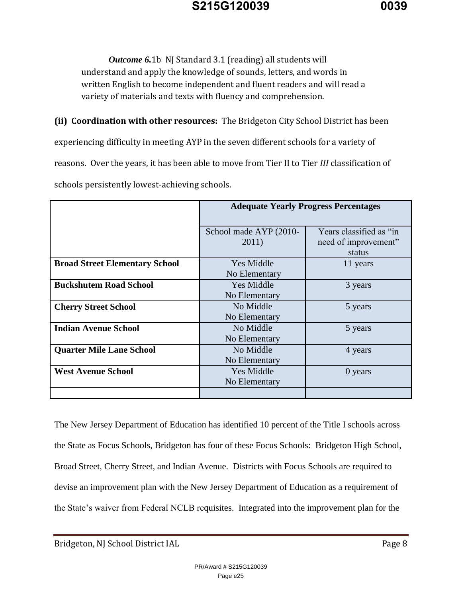*Outcome 6.*1b NJ Standard 3.1 (reading) all students will understand and apply the knowledge of sounds, letters, and words in written English to become independent and fluent readers and will read a variety of materials and texts with fluency and comprehension.

**(ii) Coordination with other resources:** The Bridgeton City School District has been

experiencing difficulty in meeting AYP in the seven different schools for a variety of

reasons. Over the years, it has been able to move from Tier II to Tier *III* classification of

schools persistently lowest-achieving schools.

|                                       | <b>Adequate Yearly Progress Percentages</b> |                         |
|---------------------------------------|---------------------------------------------|-------------------------|
|                                       |                                             |                         |
|                                       | School made AYP (2010-                      | Years classified as "in |
|                                       | 2011)                                       | need of improvement"    |
|                                       |                                             | status                  |
| <b>Broad Street Elementary School</b> | <b>Yes Middle</b>                           | 11 years                |
|                                       | No Elementary                               |                         |
| <b>Buckshutem Road School</b>         | <b>Yes Middle</b>                           | 3 years                 |
|                                       | No Elementary                               |                         |
| <b>Cherry Street School</b>           | No Middle                                   | 5 years                 |
|                                       | No Elementary                               |                         |
| <b>Indian Avenue School</b>           | No Middle                                   | 5 years                 |
|                                       | No Elementary                               |                         |
| <b>Quarter Mile Lane School</b>       | No Middle                                   | 4 years                 |
|                                       | No Elementary                               |                         |
| <b>West Avenue School</b>             | Yes Middle                                  | 0 years                 |
|                                       | No Elementary                               |                         |
|                                       |                                             |                         |

The New Jersey Department of Education has identified 10 percent of the Title I schools across the State as Focus Schools, Bridgeton has four of these Focus Schools: Bridgeton High School, Broad Street, Cherry Street, and Indian Avenue. Districts with Focus Schools are required to devise an improvement plan with the New Jersey Department of Education as a requirement of the State's waiver from Federal NCLB requisites. Integrated into the improvement plan for the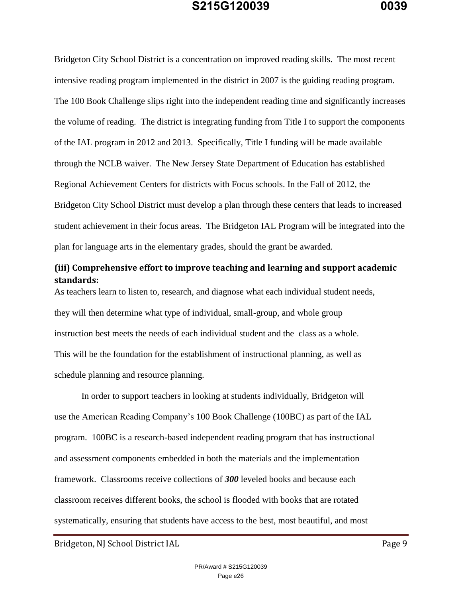Bridgeton City School District is a concentration on improved reading skills. The most recent intensive reading program implemented in the district in 2007 is the guiding reading program. The 100 Book Challenge slips right into the independent reading time and significantly increases the volume of reading. The district is integrating funding from Title I to support the components of the IAL program in 2012 and 2013. Specifically, Title I funding will be made available through the NCLB waiver. The New Jersey State Department of Education has established Regional Achievement Centers for districts with Focus schools. In the Fall of 2012, the Bridgeton City School District must develop a plan through these centers that leads to increased student achievement in their focus areas. The Bridgeton IAL Program will be integrated into the plan for language arts in the elementary grades, should the grant be awarded.

### **(iii) Comprehensive effort to improve teaching and learning and support academic standards:**

As teachers learn to listen to, research, and diagnose what each individual student needs, they will then determine what type of individual, small-group, and whole group instruction best meets the needs of each individual student and the class as a whole. This will be the foundation for the establishment of instructional planning, as well as schedule planning and resource planning.

In order to support teachers in looking at students individually, Bridgeton will use the American Reading Company's 100 Book Challenge (100BC) as part of the IAL program. 100BC is a research-based independent reading program that has instructional and assessment components embedded in both the materials and the implementation framework. Classrooms receive collections of *300* leveled books and because each classroom receives different books, the school is flooded with books that are rotated systematically, ensuring that students have access to the best, most beautiful, and most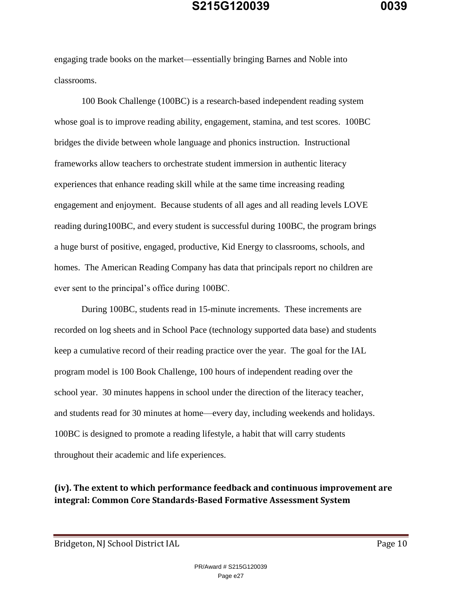engaging trade books on the market—essentially bringing Barnes and Noble into classrooms.

100 Book Challenge (100BC) is a research-based independent reading system whose goal is to improve reading ability, engagement, stamina, and test scores. 100BC bridges the divide between whole language and phonics instruction. Instructional frameworks allow teachers to orchestrate student immersion in authentic literacy experiences that enhance reading skill while at the same time increasing reading engagement and enjoyment. Because students of all ages and all reading levels LOVE reading during100BC, and every student is successful during 100BC, the program brings a huge burst of positive, engaged, productive, Kid Energy to classrooms, schools, and homes. The American Reading Company has data that principals report no children are ever sent to the principal's office during 100BC.

During 100BC, students read in 15-minute increments. These increments are recorded on log sheets and in School Pace (technology supported data base) and students keep a cumulative record of their reading practice over the year. The goal for the IAL program model is 100 Book Challenge, 100 hours of independent reading over the school year. 30 minutes happens in school under the direction of the literacy teacher, and students read for 30 minutes at home—every day, including weekends and holidays. 100BC is designed to promote a reading lifestyle, a habit that will carry students throughout their academic and life experiences.

### **(iv). The extent to which performance feedback and continuous improvement are integral: Common Core Standards-Based Formative Assessment System**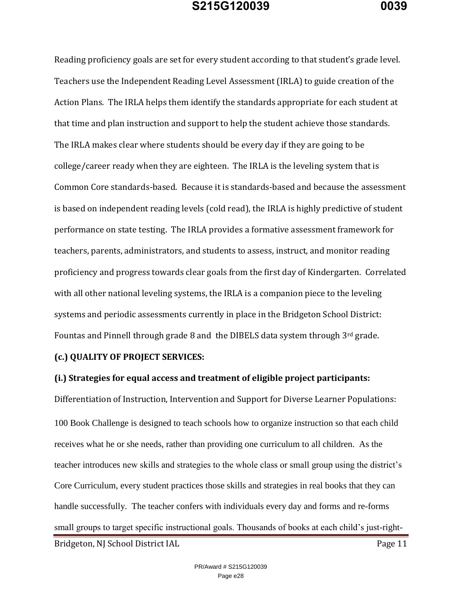Reading proficiency goals are set for every student according to that student's grade level. Teachers use the Independent Reading Level Assessment (IRLA) to guide creation of the Action Plans. The IRLA helps them identify the standards appropriate for each student at that time and plan instruction and support to help the student achieve those standards. The IRLA makes clear where students should be every day if they are going to be college/career ready when they are eighteen. The IRLA is the leveling system that is Common Core standards-based. Because it is standards-based and because the assessment is based on independent reading levels (cold read), the IRLA is highly predictive of student performance on state testing. The IRLA provides a formative assessment framework for teachers, parents, administrators, and students to assess, instruct, and monitor reading proficiency and progress towards clear goals from the first day of Kindergarten. Correlated with all other national leveling systems, the IRLA is a companion piece to the leveling systems and periodic assessments currently in place in the Bridgeton School District: Fountas and Pinnell through grade 8 and the DIBELS data system through 3rd grade.

#### **(c.) QUALITY OF PROJECT SERVICES:**

#### **(i.) Strategies for equal access and treatment of eligible project participants:**

Bridgeton, NJ School District IAL Page 11 Differentiation of Instruction, Intervention and Support for Diverse Learner Populations: 100 Book Challenge is designed to teach schools how to organize instruction so that each child receives what he or she needs, rather than providing one curriculum to all children. As the teacher introduces new skills and strategies to the whole class or small group using the district's Core Curriculum, every student practices those skills and strategies in real books that they can handle successfully. The teacher confers with individuals every day and forms and re-forms small groups to target specific instructional goals. Thousands of books at each child's just-right-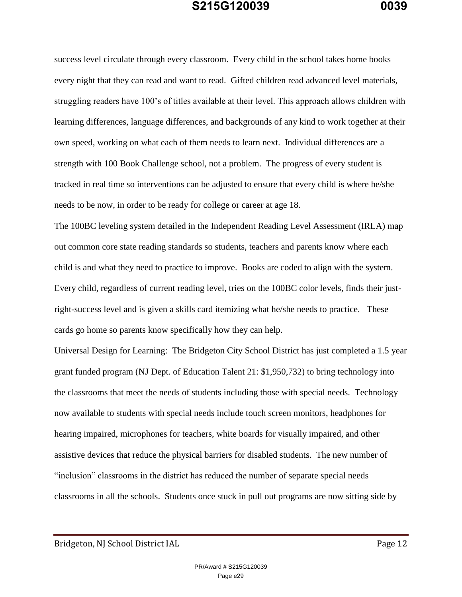success level circulate through every classroom. Every child in the school takes home books every night that they can read and want to read. Gifted children read advanced level materials, struggling readers have 100's of titles available at their level. This approach allows children with learning differences, language differences, and backgrounds of any kind to work together at their own speed, working on what each of them needs to learn next. Individual differences are a strength with 100 Book Challenge school, not a problem. The progress of every student is tracked in real time so interventions can be adjusted to ensure that every child is where he/she needs to be now, in order to be ready for college or career at age 18.

The 100BC leveling system detailed in the Independent Reading Level Assessment (IRLA) map out common core state reading standards so students, teachers and parents know where each child is and what they need to practice to improve. Books are coded to align with the system. Every child, regardless of current reading level, tries on the 100BC color levels, finds their justright-success level and is given a skills card itemizing what he/she needs to practice. These cards go home so parents know specifically how they can help.

Universal Design for Learning: The Bridgeton City School District has just completed a 1.5 year grant funded program (NJ Dept. of Education Talent 21: \$1,950,732) to bring technology into the classrooms that meet the needs of students including those with special needs. Technology now available to students with special needs include touch screen monitors, headphones for hearing impaired, microphones for teachers, white boards for visually impaired, and other assistive devices that reduce the physical barriers for disabled students. The new number of "inclusion" classrooms in the district has reduced the number of separate special needs classrooms in all the schools. Students once stuck in pull out programs are now sitting side by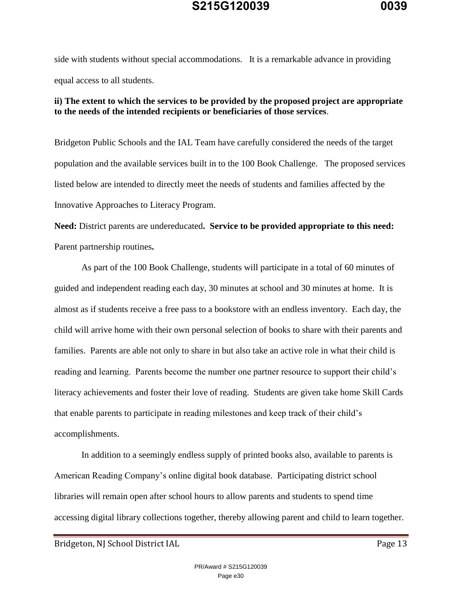side with students without special accommodations. It is a remarkable advance in providing equal access to all students.

#### **ii) The extent to which the services to be provided by the proposed project are appropriate to the needs of the intended recipients or beneficiaries of those services**.

Bridgeton Public Schools and the IAL Team have carefully considered the needs of the target population and the available services built in to the 100 Book Challenge. The proposed services listed below are intended to directly meet the needs of students and families affected by the Innovative Approaches to Literacy Program.

**Need:** District parents are undereducated**. Service to be provided appropriate to this need:**  Parent partnership routines**.**

As part of the 100 Book Challenge, students will participate in a total of 60 minutes of guided and independent reading each day, 30 minutes at school and 30 minutes at home. It is almost as if students receive a free pass to a bookstore with an endless inventory. Each day, the child will arrive home with their own personal selection of books to share with their parents and families. Parents are able not only to share in but also take an active role in what their child is reading and learning. Parents become the number one partner resource to support their child's literacy achievements and foster their love of reading. Students are given take home Skill Cards that enable parents to participate in reading milestones and keep track of their child's accomplishments.

In addition to a seemingly endless supply of printed books also, available to parents is American Reading Company's online digital book database. Participating district school libraries will remain open after school hours to allow parents and students to spend time accessing digital library collections together, thereby allowing parent and child to learn together.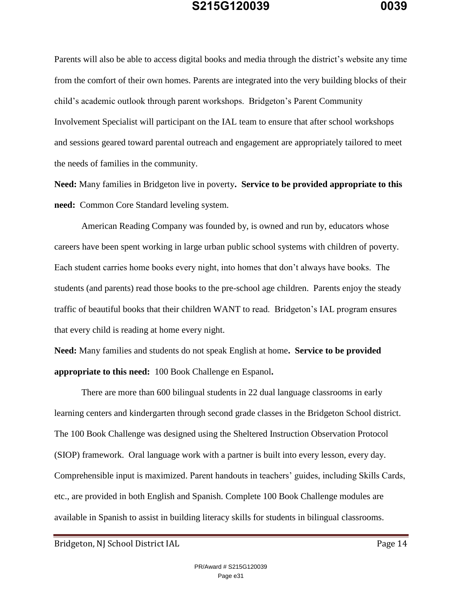Parents will also be able to access digital books and media through the district's website any time from the comfort of their own homes. Parents are integrated into the very building blocks of their child's academic outlook through parent workshops. Bridgeton's Parent Community Involvement Specialist will participant on the IAL team to ensure that after school workshops and sessions geared toward parental outreach and engagement are appropriately tailored to meet the needs of families in the community.

**Need:** Many families in Bridgeton live in poverty**. Service to be provided appropriate to this need:** Common Core Standard leveling system.

American Reading Company was founded by, is owned and run by, educators whose careers have been spent working in large urban public school systems with children of poverty. Each student carries home books every night, into homes that don't always have books. The students (and parents) read those books to the pre-school age children. Parents enjoy the steady traffic of beautiful books that their children WANT to read. Bridgeton's IAL program ensures that every child is reading at home every night.

**Need:** Many families and students do not speak English at home**. Service to be provided appropriate to this need:** 100 Book Challenge en Espanol**.**

There are more than 600 bilingual students in 22 dual language classrooms in early learning centers and kindergarten through second grade classes in the Bridgeton School district. The 100 Book Challenge was designed using the Sheltered Instruction Observation Protocol (SIOP) framework. Oral language work with a partner is built into every lesson, every day. Comprehensible input is maximized. Parent handouts in teachers' guides, including Skills Cards, etc., are provided in both English and Spanish. Complete 100 Book Challenge modules are available in Spanish to assist in building literacy skills for students in bilingual classrooms.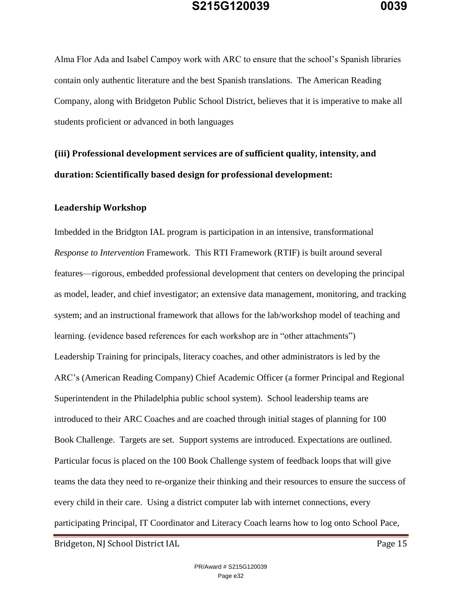Alma Flor Ada and Isabel Campoy work with ARC to ensure that the school's Spanish libraries contain only authentic literature and the best Spanish translations. The American Reading Company, along with Bridgeton Public School District, believes that it is imperative to make all students proficient or advanced in both languages

# **(iii) Professional development services are of sufficient quality, intensity, and duration: Scientifically based design for professional development:**

#### **Leadership Workshop**

Imbedded in the Bridgton IAL program is participation in an intensive, transformational *Response to Intervention* Framework. This RTI Framework (RTIF) is built around several features—rigorous, embedded professional development that centers on developing the principal as model, leader, and chief investigator; an extensive data management, monitoring, and tracking system; and an instructional framework that allows for the lab/workshop model of teaching and learning. (evidence based references for each workshop are in "other attachments") Leadership Training for principals, literacy coaches, and other administrators is led by the ARC's (American Reading Company) Chief Academic Officer (a former Principal and Regional Superintendent in the Philadelphia public school system). School leadership teams are introduced to their ARC Coaches and are coached through initial stages of planning for 100 Book Challenge. Targets are set. Support systems are introduced. Expectations are outlined. Particular focus is placed on the 100 Book Challenge system of feedback loops that will give teams the data they need to re-organize their thinking and their resources to ensure the success of every child in their care. Using a district computer lab with internet connections, every participating Principal, IT Coordinator and Literacy Coach learns how to log onto School Pace,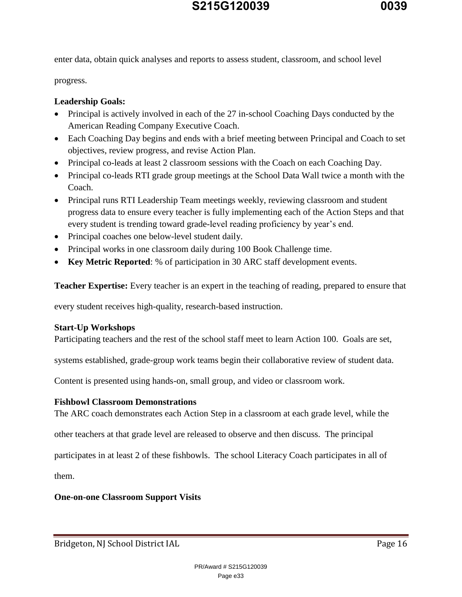enter data, obtain quick analyses and reports to assess student, classroom, and school level

progress.

### **Leadership Goals:**

- Principal is actively involved in each of the 27 in-school Coaching Days conducted by the American Reading Company Executive Coach.
- Each Coaching Day begins and ends with a brief meeting between Principal and Coach to set objectives, review progress, and revise Action Plan.
- Principal co-leads at least 2 classroom sessions with the Coach on each Coaching Day.
- Principal co-leads RTI grade group meetings at the School Data Wall twice a month with the Coach.
- Principal runs RTI Leadership Team meetings weekly, reviewing classroom and student progress data to ensure every teacher is fully implementing each of the Action Steps and that every student is trending toward grade-level reading proficiency by year's end.
- Principal coaches one below-level student daily.
- Principal works in one classroom daily during 100 Book Challenge time.
- **Key Metric Reported**: % of participation in 30 ARC staff development events.

**Teacher Expertise:** Every teacher is an expert in the teaching of reading, prepared to ensure that

every student receives high-quality, research-based instruction.

#### **Start-Up Workshops**

Participating teachers and the rest of the school staff meet to learn Action 100. Goals are set,

systems established, grade-group work teams begin their collaborative review of student data.

Content is presented using hands-on, small group, and video or classroom work.

#### **Fishbowl Classroom Demonstrations**

The ARC coach demonstrates each Action Step in a classroom at each grade level, while the

other teachers at that grade level are released to observe and then discuss. The principal

participates in at least 2 of these fishbowls. The school Literacy Coach participates in all of

them.

#### **One-on-one Classroom Support Visits**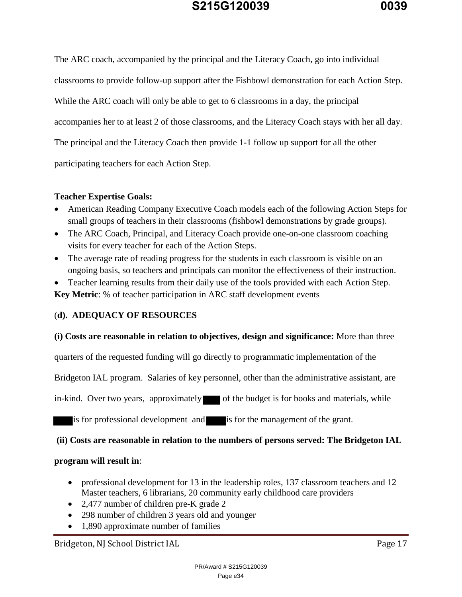The ARC coach, accompanied by the principal and the Literacy Coach, go into individual classrooms to provide follow-up support after the Fishbowl demonstration for each Action Step. While the ARC coach will only be able to get to 6 classrooms in a day, the principal accompanies her to at least 2 of those classrooms, and the Literacy Coach stays with her all day. The principal and the Literacy Coach then provide 1-1 follow up support for all the other participating teachers for each Action Step.

#### **Teacher Expertise Goals:**

- American Reading Company Executive Coach models each of the following Action Steps for small groups of teachers in their classrooms (fishbowl demonstrations by grade groups).
- The ARC Coach, Principal, and Literacy Coach provide one-on-one classroom coaching visits for every teacher for each of the Action Steps.
- The average rate of reading progress for the students in each classroom is visible on an ongoing basis, so teachers and principals can monitor the effectiveness of their instruction.

 Teacher learning results from their daily use of the tools provided with each Action Step. **Key Metric**: % of teacher participation in ARC staff development events

#### (**d). ADEQUACY OF RESOURCES**

#### **(i) Costs are reasonable in relation to objectives, design and significance:** More than three

quarters of the requested funding will go directly to programmatic implementation of the

Bridgeton IAL program. Salaries of key personnel, other than the administrative assistant, are

in-kind. Over two years, approximately of the budget is for books and materials, while

is for professional development and is for the management of the grant.

#### **(ii) Costs are reasonable in relation to the numbers of persons served: The Bridgeton IAL**

#### **program will result in**:

- professional development for 13 in the leadership roles, 137 classroom teachers and 12 Master teachers, 6 librarians, 20 community early childhood care providers
- 2,477 number of children pre-K grade 2
- 298 number of children 3 years old and younger
- 1,890 approximate number of families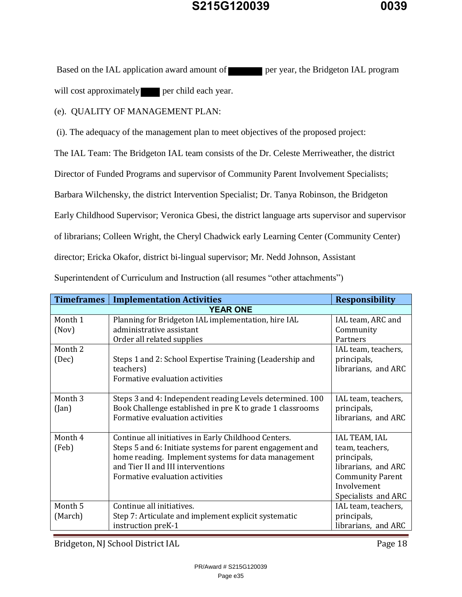Based on the IAL application award amount of **per year, the Bridgeton IAL program** will cost approximately **per child each year.** 

(e). QUALITY OF MANAGEMENT PLAN:

(i). The adequacy of the management plan to meet objectives of the proposed project:

The IAL Team: The Bridgeton IAL team consists of the Dr. Celeste Merriweather, the district

Director of Funded Programs and supervisor of Community Parent Involvement Specialists;

Barbara Wilchensky, the district Intervention Specialist; Dr. Tanya Robinson, the Bridgeton

Early Childhood Supervisor; Veronica Gbesi, the district language arts supervisor and supervisor

of librarians; Colleen Wright, the Cheryl Chadwick early Learning Center (Community Center)

director; Ericka Okafor, district bi-lingual supervisor; Mr. Nedd Johnson, Assistant

Superintendent of Curriculum and Instruction (all resumes "other attachments")

| <b>Timeframes</b>           | <b>Implementation Activities</b>                                                                                                                                                                                                                 | <b>Responsibility</b>                                                                                                                   |  |
|-----------------------------|--------------------------------------------------------------------------------------------------------------------------------------------------------------------------------------------------------------------------------------------------|-----------------------------------------------------------------------------------------------------------------------------------------|--|
| <b>YEAR ONE</b>             |                                                                                                                                                                                                                                                  |                                                                                                                                         |  |
| Month 1<br>(Nov)            | Planning for Bridgeton IAL implementation, hire IAL<br>administrative assistant<br>Order all related supplies                                                                                                                                    | IAL team, ARC and<br>Community<br>Partners                                                                                              |  |
| Month 2<br>(Dec)            | Steps 1 and 2: School Expertise Training (Leadership and<br>teachers)<br>Formative evaluation activities                                                                                                                                         | IAL team, teachers,<br>principals,<br>librarians, and ARC                                                                               |  |
| Month <sub>3</sub><br>(Jan) | Steps 3 and 4: Independent reading Levels determined. 100<br>Book Challenge established in pre K to grade 1 classrooms<br>Formative evaluation activities                                                                                        | IAL team, teachers,<br>principals,<br>librarians, and ARC                                                                               |  |
| Month 4<br>(Feb)            | Continue all initiatives in Early Childhood Centers.<br>Steps 5 and 6: Initiate systems for parent engagement and<br>home reading. Implement systems for data management<br>and Tier II and III interventions<br>Formative evaluation activities | IAL TEAM, IAL<br>team, teachers,<br>principals,<br>librarians, and ARC<br><b>Community Parent</b><br>Involvement<br>Specialists and ARC |  |
| Month 5<br>(March)          | Continue all initiatives.<br>Step 7: Articulate and implement explicit systematic<br>instruction preK-1                                                                                                                                          | IAL team, teachers,<br>principals,<br>librarians, and ARC                                                                               |  |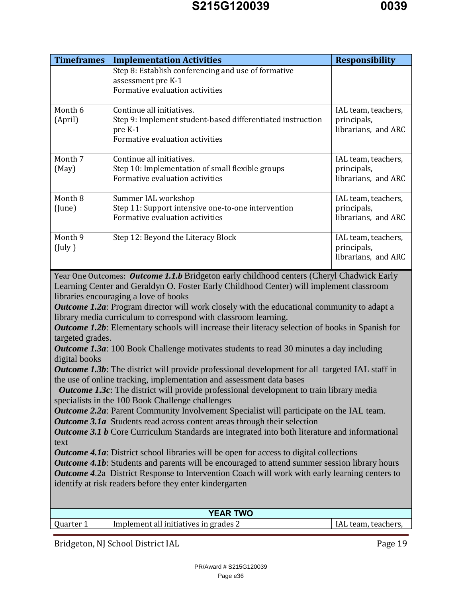| <b>Timeframes</b>                                                                                                                                                                                           | <b>Implementation Activities</b>                                                                       | <b>Responsibility</b> |
|-------------------------------------------------------------------------------------------------------------------------------------------------------------------------------------------------------------|--------------------------------------------------------------------------------------------------------|-----------------------|
|                                                                                                                                                                                                             | Step 8: Establish conferencing and use of formative                                                    |                       |
|                                                                                                                                                                                                             | assessment pre K-1                                                                                     |                       |
|                                                                                                                                                                                                             | Formative evaluation activities                                                                        |                       |
| Month 6                                                                                                                                                                                                     | Continue all initiatives.                                                                              | IAL team, teachers,   |
| (April)                                                                                                                                                                                                     | Step 9: Implement student-based differentiated instruction                                             | principals,           |
|                                                                                                                                                                                                             | pre K-1                                                                                                | librarians, and ARC   |
|                                                                                                                                                                                                             | Formative evaluation activities                                                                        |                       |
| Month 7                                                                                                                                                                                                     | Continue all initiatives.                                                                              | IAL team, teachers,   |
| (May)                                                                                                                                                                                                       | Step 10: Implementation of small flexible groups                                                       | principals,           |
|                                                                                                                                                                                                             | Formative evaluation activities                                                                        | librarians, and ARC   |
| Month 8                                                                                                                                                                                                     | Summer IAL workshop                                                                                    | IAL team, teachers,   |
| (June)                                                                                                                                                                                                      | Step 11: Support intensive one-to-one intervention                                                     | principals,           |
|                                                                                                                                                                                                             | Formative evaluation activities                                                                        | librarians, and ARC   |
| Month 9                                                                                                                                                                                                     | Step 12: Beyond the Literacy Block                                                                     | IAL team, teachers,   |
| $($ July $)$                                                                                                                                                                                                |                                                                                                        | principals,           |
|                                                                                                                                                                                                             |                                                                                                        | librarians, and ARC   |
|                                                                                                                                                                                                             | Year One Outcomes: Outcome 1.1.b Bridgeton early childhood centers (Cheryl Chadwick Early              |                       |
|                                                                                                                                                                                                             | Learning Center and Geraldyn O. Foster Early Childhood Center) will implement classroom                |                       |
|                                                                                                                                                                                                             | libraries encouraging a love of books                                                                  |                       |
|                                                                                                                                                                                                             | <b>Outcome 1.2a:</b> Program director will work closely with the educational community to adapt a      |                       |
|                                                                                                                                                                                                             | library media curriculum to correspond with classroom learning.                                        |                       |
| targeted grades.                                                                                                                                                                                            | <b>Outcome 1.2b:</b> Elementary schools will increase their literacy selection of books in Spanish for |                       |
|                                                                                                                                                                                                             | <b>Outcome 1.3a:</b> 100 Book Challenge motivates students to read 30 minutes a day including          |                       |
| digital books                                                                                                                                                                                               |                                                                                                        |                       |
|                                                                                                                                                                                                             | <b>Outcome 1.3b:</b> The district will provide professional development for all targeted IAL staff in  |                       |
|                                                                                                                                                                                                             | the use of online tracking, implementation and assessment data bases                                   |                       |
| <b>Outcome 1.3c:</b> The district will provide professional development to train library media                                                                                                              |                                                                                                        |                       |
|                                                                                                                                                                                                             | specialists in the 100 Book Challenge challenges                                                       |                       |
| <b>Outcome 2.2a:</b> Parent Community Involvement Specialist will participate on the IAL team.                                                                                                              |                                                                                                        |                       |
|                                                                                                                                                                                                             | <b>Outcome 3.1a</b> Students read across content areas through their selection                         |                       |
| <b>Outcome 3.1 b</b> Core Curriculum Standards are integrated into both literature and informational                                                                                                        |                                                                                                        |                       |
| text                                                                                                                                                                                                        |                                                                                                        |                       |
| <b>Outcome 4.1a:</b> District school libraries will be open for access to digital collections                                                                                                               |                                                                                                        |                       |
| <b>Outcome 4.1b:</b> Students and parents will be encouraged to attend summer session library hours<br><b>Outcome 4.2a</b> District Response to Intervention Coach will work with early learning centers to |                                                                                                        |                       |
| identify at risk readers before they enter kindergarten                                                                                                                                                     |                                                                                                        |                       |
|                                                                                                                                                                                                             |                                                                                                        |                       |
|                                                                                                                                                                                                             | <b>YEAR TWO</b>                                                                                        |                       |
| Quarter 1                                                                                                                                                                                                   | Implement all initiatives in grades 2                                                                  | IAL team, teachers,   |
|                                                                                                                                                                                                             |                                                                                                        |                       |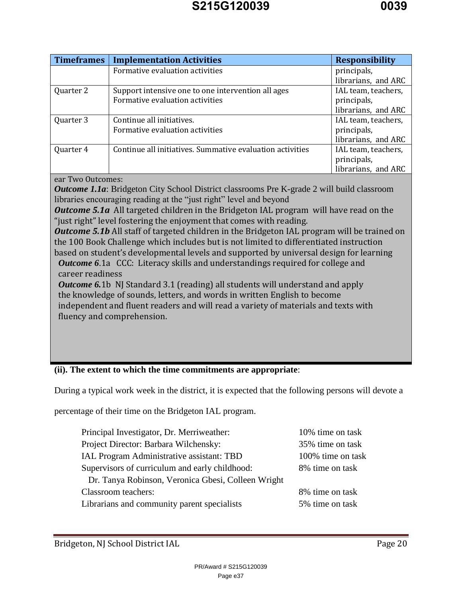| <b>Timeframes</b> | <b>Implementation Activities</b>                          | <b>Responsibility</b> |
|-------------------|-----------------------------------------------------------|-----------------------|
|                   | Formative evaluation activities                           | principals,           |
|                   |                                                           | librarians, and ARC   |
| Quarter 2         | Support intensive one to one intervention all ages        | IAL team, teachers,   |
|                   | Formative evaluation activities                           | principals,           |
|                   |                                                           | librarians, and ARC   |
| Quarter 3         | Continue all initiatives.                                 | IAL team, teachers,   |
|                   | Formative evaluation activities                           | principals,           |
|                   |                                                           | librarians, and ARC   |
| Quarter 4         | Continue all initiatives. Summative evaluation activities | IAL team, teachers,   |
|                   |                                                           | principals,           |
|                   |                                                           | librarians, and ARC   |

ear Two Outcomes:

**Outcome 1.1a:** Bridgeton City School District classrooms Pre K-grade 2 will build classroom libraries encouraging reading at the "just right" level and beyond

*Outcome 5.1a* All targeted children in the Bridgeton IAL program will have read on the "just right" level fostering the enjoyment that comes with reading.

**Outcome 5.1b** All staff of targeted children in the Bridgeton IAL program will be trained on the 100 Book Challenge which includes but is not limited to differentiated instruction based on student's developmental levels and supported by universal design for learning

*Outcome 6*.1a CCC: Literacy skills and understandings required for college and career readiness

*Outcome 6.1b NJ Standard 3.1 (reading) all students will understand and apply* the knowledge of sounds, letters, and words in written English to become independent and fluent readers and will read a variety of materials and texts with fluency and comprehension.

#### **(ii). The extent to which the time commitments are appropriate**:

During a typical work week in the district, it is expected that the following persons will devote a

percentage of their time on the Bridgeton IAL program.

| Principal Investigator, Dr. Merriweather:          | 10% time on task  |
|----------------------------------------------------|-------------------|
| Project Director: Barbara Wilchensky:              | 35% time on task  |
| <b>IAL Program Administrative assistant: TBD</b>   | 100% time on task |
| Supervisors of curriculum and early childhood:     | 8% time on task   |
| Dr. Tanya Robinson, Veronica Gbesi, Colleen Wright |                   |
| <b>Classroom</b> teachers:                         | 8% time on task   |
| Librarians and community parent specialists        | 5% time on task   |
|                                                    |                   |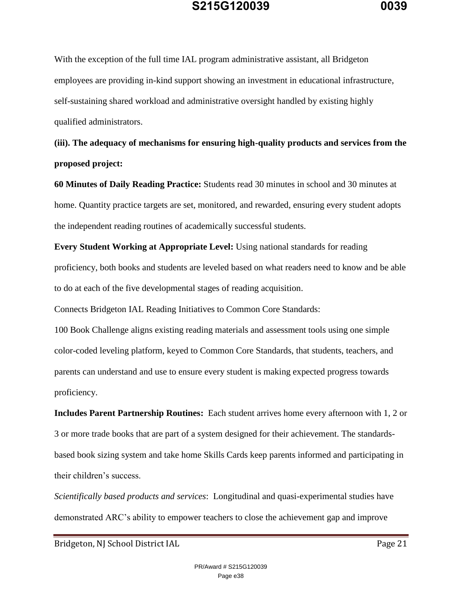With the exception of the full time IAL program administrative assistant, all Bridgeton employees are providing in-kind support showing an investment in educational infrastructure, self-sustaining shared workload and administrative oversight handled by existing highly qualified administrators.

**(iii). The adequacy of mechanisms for ensuring high-quality products and services from the proposed project:**

**60 Minutes of Daily Reading Practice:** Students read 30 minutes in school and 30 minutes at home. Quantity practice targets are set, monitored, and rewarded, ensuring every student adopts the independent reading routines of academically successful students.

**Every Student Working at Appropriate Level:** Using national standards for reading proficiency, both books and students are leveled based on what readers need to know and be able to do at each of the five developmental stages of reading acquisition.

Connects Bridgeton IAL Reading Initiatives to Common Core Standards:

100 Book Challenge aligns existing reading materials and assessment tools using one simple color-coded leveling platform, keyed to Common Core Standards, that students, teachers, and parents can understand and use to ensure every student is making expected progress towards proficiency.

**Includes Parent Partnership Routines:** Each student arrives home every afternoon with 1, 2 or 3 or more trade books that are part of a system designed for their achievement. The standardsbased book sizing system and take home Skills Cards keep parents informed and participating in their children's success.

*Scientifically based products and services*: Longitudinal and quasi-experimental studies have demonstrated ARC's ability to empower teachers to close the achievement gap and improve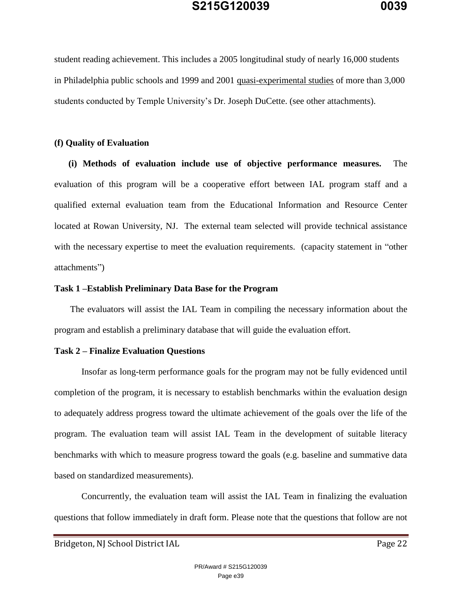student reading achievement. This includes a 2005 longitudinal study of nearly 16,000 students in Philadelphia public schools and 1999 and 2001 quasi-experimental studies of more than 3,000 students conducted by Temple University's Dr. Joseph DuCette. (see other attachments).

#### **(f) Quality of Evaluation**

**(i) Methods of evaluation include use of objective performance measures.** The evaluation of this program will be a cooperative effort between IAL program staff and a qualified external evaluation team from the Educational Information and Resource Center located at Rowan University, NJ. The external team selected will provide technical assistance with the necessary expertise to meet the evaluation requirements. (capacity statement in "other attachments")

#### **Task 1 –Establish Preliminary Data Base for the Program**

The evaluators will assist the IAL Team in compiling the necessary information about the program and establish a preliminary database that will guide the evaluation effort.

#### **Task 2 – Finalize Evaluation Questions**

Insofar as long-term performance goals for the program may not be fully evidenced until completion of the program, it is necessary to establish benchmarks within the evaluation design to adequately address progress toward the ultimate achievement of the goals over the life of the program. The evaluation team will assist IAL Team in the development of suitable literacy benchmarks with which to measure progress toward the goals (e.g. baseline and summative data based on standardized measurements).

Concurrently, the evaluation team will assist the IAL Team in finalizing the evaluation questions that follow immediately in draft form. Please note that the questions that follow are not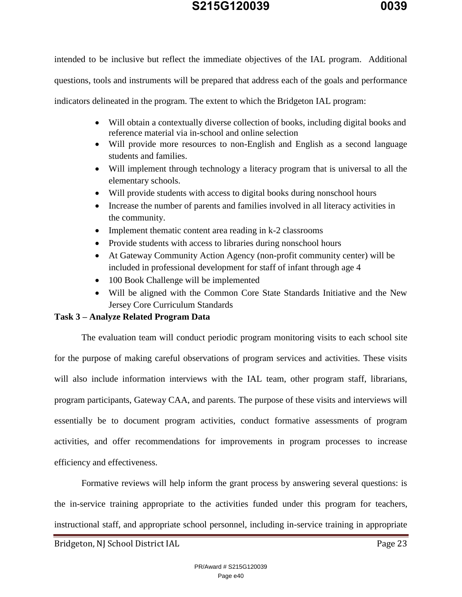intended to be inclusive but reflect the immediate objectives of the IAL program. Additional questions, tools and instruments will be prepared that address each of the goals and performance indicators delineated in the program. The extent to which the Bridgeton IAL program:

- Will obtain a contextually diverse collection of books, including digital books and reference material via in-school and online selection
- Will provide more resources to non-English and English as a second language students and families.
- Will implement through technology a literacy program that is universal to all the elementary schools.
- Will provide students with access to digital books during nonschool hours
- Increase the number of parents and families involved in all literacy activities in the community.
- Implement thematic content area reading in k-2 classrooms
- Provide students with access to libraries during nonschool hours
- At Gateway Community Action Agency (non-profit community center) will be included in professional development for staff of infant through age 4
- 100 Book Challenge will be implemented
- Will be aligned with the Common Core State Standards Initiative and the New Jersey Core Curriculum Standards

### **Task 3 – Analyze Related Program Data**

The evaluation team will conduct periodic program monitoring visits to each school site for the purpose of making careful observations of program services and activities. These visits will also include information interviews with the IAL team, other program staff, librarians, program participants, Gateway CAA, and parents. The purpose of these visits and interviews will essentially be to document program activities, conduct formative assessments of program activities, and offer recommendations for improvements in program processes to increase efficiency and effectiveness.

Formative reviews will help inform the grant process by answering several questions: is the in-service training appropriate to the activities funded under this program for teachers, instructional staff, and appropriate school personnel, including in-service training in appropriate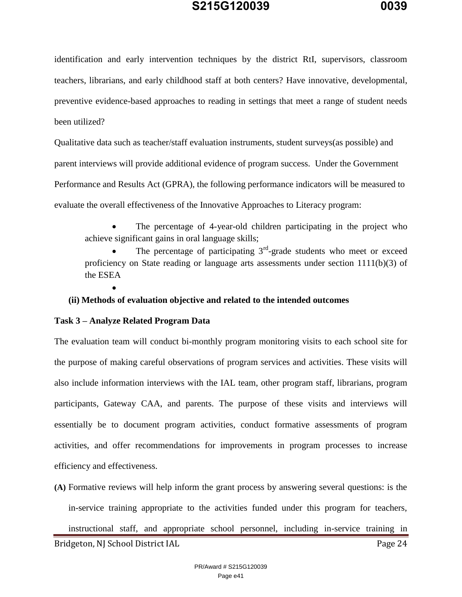identification and early intervention techniques by the district RtI, supervisors, classroom teachers, librarians, and early childhood staff at both centers? Have innovative, developmental, preventive evidence-based approaches to reading in settings that meet a range of student needs been utilized?

Qualitative data such as teacher/staff evaluation instruments, student surveys(as possible) and parent interviews will provide additional evidence of program success. Under the Government Performance and Results Act (GPRA), the following performance indicators will be measured to evaluate the overall effectiveness of the Innovative Approaches to Literacy program:

 The percentage of 4-year-old children participating in the project who achieve significant gains in oral language skills;

• The percentage of participating  $3<sup>rd</sup>$ -grade students who meet or exceed proficiency on State reading or language arts assessments under section 1111(b)(3) of the ESEA

 $\bullet$ 

**(ii) Methods of evaluation objective and related to the intended outcomes**

#### **Task 3 – Analyze Related Program Data**

The evaluation team will conduct bi-monthly program monitoring visits to each school site for the purpose of making careful observations of program services and activities. These visits will also include information interviews with the IAL team, other program staff, librarians, program participants, Gateway CAA, and parents. The purpose of these visits and interviews will essentially be to document program activities, conduct formative assessments of program activities, and offer recommendations for improvements in program processes to increase efficiency and effectiveness.

**(A)** Formative reviews will help inform the grant process by answering several questions: is the in-service training appropriate to the activities funded under this program for teachers,

Bridgeton, NJ School District IAL Page 24 instructional staff, and appropriate school personnel, including in-service training in